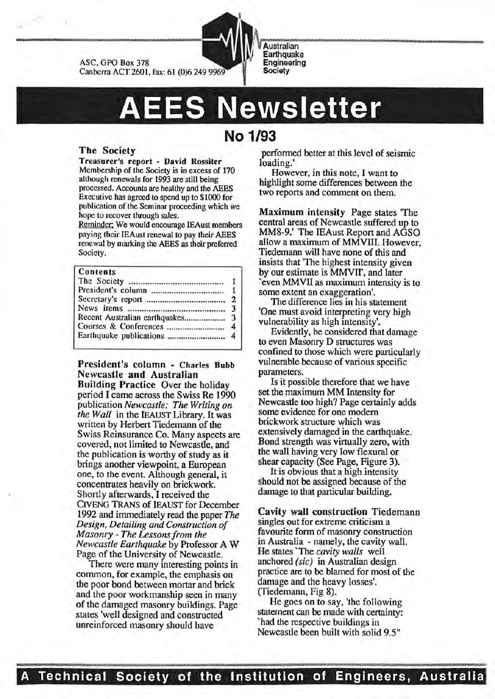



# **Newsletter**

**No 1/93** 

# The Society

::'

Treasurer's report - David Rossiter Membership of the Society is in excess of 170 although renewals for 1993 are still being processed. Accounts are healthy and the AEES Executive has agreed to spend up to \$1000 for publication of the Seminar proceeding which we hope to recover through sales.

Reminder; We would encourage IEAust members paying their IEAust renewal to pay their AEES renewal by marking the AEES as their preferred Society.

## Contents

|  | 3              |  |  |
|--|----------------|--|--|
|  |                |  |  |
|  | $\overline{4}$ |  |  |
|  |                |  |  |

President's column - Charles Bubb Newcastle and Australian

Building Practice Over the holiday penod I came across the Swiss Re 1990 publication *Newcastle: The Writing on the\_ Wall* in the IEAUST Library. It was written by Herbert Tiedemann of the Swiss Reinsurance Co. Many aspects are covered, not limited to Newcastle, and the publication is worthy of study as it brings another viewpoint, a European one, to the event. Although general, it concentrates heavily on brickwork. Shortly afterwards, I received the CIVENG TRANS of IEAUST for December 1992 and immediately read the paper *The Design, Detailing and Construction of Masonry- The Lessons from the Newcastle Earthquake* by Professor A W Page of the University of Newcastle.

There were many interesting points in common, for example, the emphasis on the poor bond between mortar and brick and the poor workmanship seen in many of the damaged masonry buildings. Page states 'well designed and constructed unreinforced masonry should have

perfonned better at this level of seismic loading.'

:::::: = ~ ::

\*\*\*\*

However, in this note, I want to highlight some differences between the two reports and comment on them.

Maximum intensity Page states 'The central areas of Newcastle suffered up to MM8-9.' The IEAust Report and AGSO allow a maximum of MMVlll. However Tiedemann will have none of this and ' insists that 'The highest intensity given by our estimate is MMVll', and later 'even MMVII as maximum intensity is to some extent an exaggeration'.

The difference lies in his statement 'One must avoid interpreting very high vulnerability as high intensity'.

Evidently, he considered that damage to even Masonry D structures was confined to those which were particularly vulnerable because of various specific parameters.

Is it possible therefore that we have set the maximum MM Intensity for Newcastle too high? Page certainly adds some evidence for one modern brickwork structure which was extensively damaged in the earthquake. Bond strength was virtually zero, with the wall having very low flexural or shear capacity (See Page, Figure 3).

It is obvious that a high intensity should not be assigned because of the damage to that particular building.

Cavity wall construction Tiedemann singles out for extreme criticism a favourite form of masonry construction in Australia - namely, the cavity wall. He states 'The *cavity walls* well anchored *(sic)* in Australian design practice are to be blamed for most of the damage and the heavy losses'. (Tiedemann, Fig 8).

He goes on to say, 'the following statement can be made with certainty: 'had the respective buildings in Newcastle been built with solid 9.5"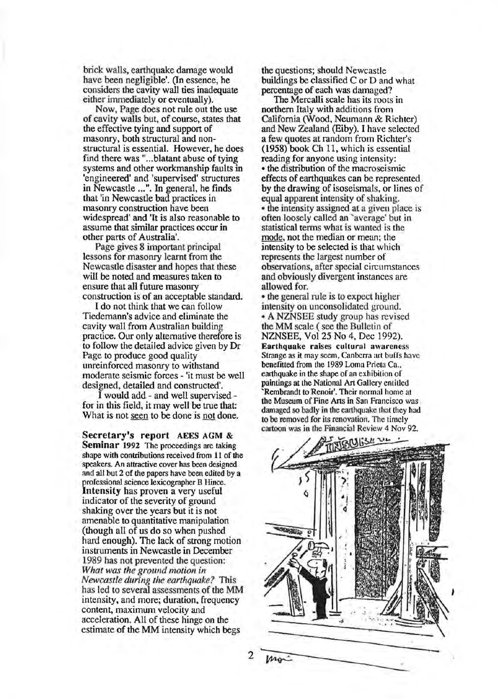brick walls, earthquake damage would have been negligible'. (In essence, he considers the cavity wall ties inadequate either immediately or eventually).

Now, Page does not rule out the use of cavity walls but, of course, states that the effective tying and support of masonry, both structural and nonstructural is essential. However, he does find there was "...blatant abuse of tying systems and other workmanship faults in 'engineered' and 'supervised' structures in Newcastle ... ". In general, he finds that 'in Newcastle bad practices in masonry construction have been widespread' and 'It is also reasonable to assume that similar practices occur in other parts of Australia'.

Page gives 8 important principal lessons for masonry learnt from the Newcastle disaster and hopes that these will be noted and measures taken to ensure that all future masonry construction is of an acceptable standard.

I do not think that we can follow Tiedemann's advice and eliminate the cavity wall from Australian building practice. Our only alternative therefore is to follow the detailed advice given by Dr Page to produce good quality unreinforced masonry to withstand moderate seismic forces - 'it must be well designed, detailed and constructed'.

I would add - and well supervised for in this field, it may well be true that: What is not seen to be done is not done.

Secretary's report AEES AGM & Seminar 1992 The proceedings are taking shape with contributions received from 11 of the speakers. An attractive cover has been designed and all but 2 cf the papers have been edited by a professional science lexicographer B Hince. Intensity has proven a very useful indicator of the severity of ground shaking over the years but it is not amenable to quantitative manipulation (though all of us do so when pushed hard enough). The lack of strong motion instruments in Newcastle in December 1989 has not prevented the question: *What was the ground motion in Newcastle during the earthquake?* This has led to several assessments of the MM intensity, and more; duration, frequency content, maximum velocity and acceleration. All of these hinge on the estimate of the MM intensity which begs

the questions; should Newcastle buildings be classified C or D and what percentage of each was damaged?

The Mercalli scale has its roots in northern Italy with additions from California (Wood, Neumann & Richter) and New Zealand (Eiby). I have selected a few quotes at random from Richter's (1958) book Ch 11, which is essential reading for anyone using intensity: • the distribution of the macroseismic effects of earthquakes can be represented by the drawing of isoseismals, or lines of equal apparent intensity of shaking. • the intensity assigned at a given place is often loosely called an 'average' but in statistical tenns what is wanted is the mode, not the median or mean; the intensity to be selected is that which represents the largest number of observations, after special circumstances and obviously divergent instances are allowed for.

• the general rule is to expect higher intensity on unconsolidated ground. • A NZNSEE study group has revised the MM scale (see the Bulletin of NZNSEE, Vol25 No 4, Dec 1992). Earthquake raises cultural awareness Strange as it may seem, Canberra art buffs have benefitted from the 1989 Lorna Prieta Ca., earthquake in the shape of an exhibition of paintings at the National Art Gallery entitled 'Rembrandt to Renoir'. Their normal home at the Museum of Fine Arts in San Francisco was damaged so badly in the earthquake that they had to be removed for its renovation. The timely cartoon was in the Financial Review 4 Nov 92.



2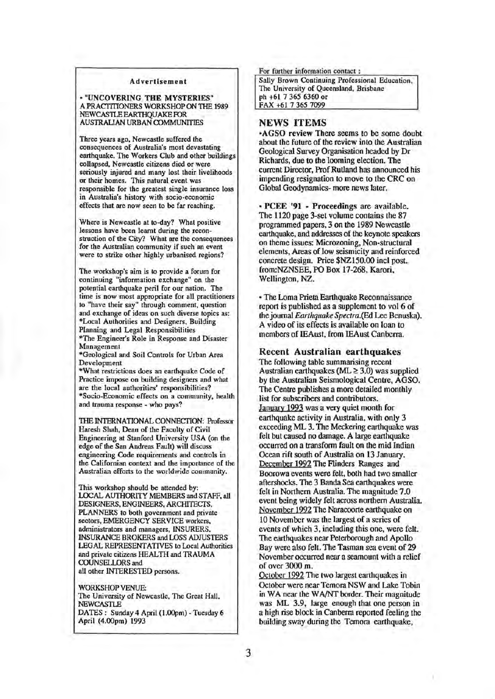#### Advertisement

• "UNCOVERING THE MYSTERIES" A PRACTITIONERS WORKSHOP ON THE 1989 NEWCASTLE EARTHOUAKE FOR AUSTRAliAN URBAN OOMMUNITIES

Three years ago, Newcastle suffered the consequences of Australia's most devastating earthquake. The Workers Club and other buildings collapsed, Newcastle citizens died or were seriously injured and many lost their livelihoods or their homes. This natural event was responsible for the greatest single insurance loss in Australia's history with socio-economic effects that are now seen to be far reaching.

Where is Newcastle at to-day? What positive lessons have been learnt during the reconstruction of the City? What are the consequences for the Australian community if such an event were to strike other highly urbanised regions?

The workshop's aim is to provide a forum for continuing "information exchange" on the potential earthquake peril for our nation. The time is now most appropriate for all practitioners to "have their say" through comment, question and exchange of ideas on such diverse topics as: \*Local Authorities and Designers, Building Planning and Legal Responsibilities \*The Engineer's Role in Response and Disaster Management

\*Geological and Soil Controls for Urban Area Development

\*What restrictions does an earthquake Code of Practice impose on building designers and what are the local authorities' responsibilities? \*Socio-Economic effects on a community, health and trauma response - who pays?

THE INTERNATIONAL CONNECTION: Professor Haresh Shah, Dean of the Faculty of Civil Engineering at Stanford University USA (on the edge of the San Andreas Fault) will discuss engineering Code requirements and controls in the Californian context and the importance of the Australian efforts to the worldwide community.

This workshop should be attended by: LOCAL AUTHORITY MEMBERS and STAFF, all DESIGNERS, ENGINEERS, ARCHITECTS, PLANNERS to both government and private sectors, EMERGENCY SERVICE workers, administrators and managers, INSURERS, INSURANCE BROKERS and LOSS ADJUSTERS LEGAL REPRESENTATIVES to Local Authorities and private citizens HEALTH and TRAUMA COUNSELLORS and all other INTERESTED persons.

WORKSHOP VENUE: The University of Newcastle, The Great Hall, NEWCASTLE DATES : Sunday 4 April (l.OOpm)- Tuesday 6 April (4.00pm) 1993

For further information contact :

Sally Brown Continuing Professional Education, The University of Queensland, Brisbane ph +61 7 365 6360 or FAX +61 7 365 7099

# NEWS ITEMS

•AGSO review There seems to be some doubt about the future of the review into the Australian Geological Survey Organisation headed by Dr Richards, due to the looming election. The current Director, Prof Rutland has announced his impending resignation to move to the CRC on Global Geodynamics- more news later.

• PCEE '91 - Proceedings are available. The 1120 page 3-set volume contains the 87 programmed papers, 3 on the 1989 Newcastle earthquake, and addresses of the keynote speakers on theme issues: Microzoning, Non-structural elements, Areas of low seismicity and reinforced concrete design. Price \$NZ150.00 incl post. from:NZNSEE, PO Box 17-268, Karori, Wellington, NZ.

• The Loma Prieta Earthquake Reconnaissance report is published as a supplement to vol 6 of the journal *Earthquake Spectra.(Ed* Lee Benuska). A video of its effects is available on loan to members of IEAust, from IEAust Canberra.

#### Recent Australian earthquakes

The following table summarising recent Australian earthquakes (ML  $\geq$  3.0) was supplied by the Australian Seismological Centre, AGSO. The Centre publishes a more detailed monthly list for subscribers and contributors. January 1993 was a very quiet month for earthquake activity in Australia, with only 3 exceeding ML 3. The Meckering earthquake was felt but caused no damage. A large earthquake occurred on a transform fault on the mid Indian Ocean rift south of Australia on 13 January. December 1992 The Flinders Ranges and Boorowa events were felt, both had two smaller aftershocks. The 3 Banda Sea earthquakes were felt in Northern Australia. The magnitude 7.0 event being widely felt across northern Australia. November 1992 The Naracoorte earthquake on 10 November was the largest of a series of events of which 3, including this one, were felt. The earthquakes near Peterborough and Apollo Bay were also felt. The Tasman sea event of 29 November occurred near a seamount with a relief of over 3000 m.

October 1992 The two largest earthquakes in October were near Temora NSW and Lake Tobin in WA near the WA/NT border. Their magnitude was ML 3.9, large enough that one person in a high rise block in Canberra reported feeling the building sway during the Temora earthquake,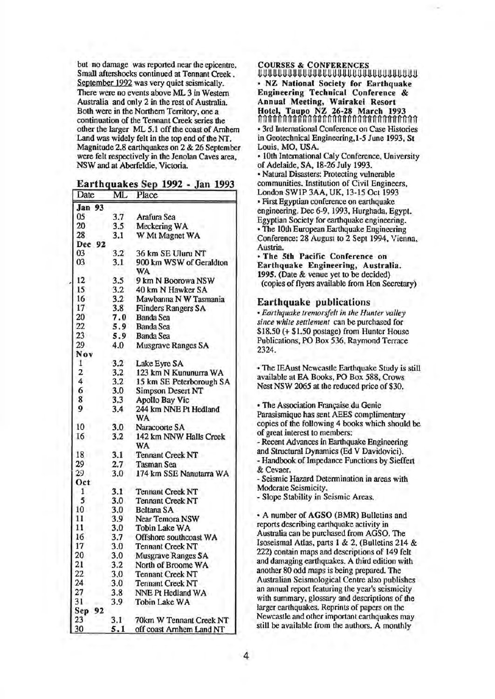but no damage was reported near the epicentre. Small aftershocks continued at Tennant Creek . September 1992 was very quiet seismically. There were no events above ML 3 in Western Australia and only 2 in the rest of Australia. Both were in the Northern Territory, one a continuation of the Tennant Creek series the other the larger ML 5.1 off the coast of Arnhem Land was widely felt in the top end of the NT. Magnitude 2.8 earthquakes on 2 & 26 September were felt respectively in the Jenolan Caves area, NSW and at Aberfeldie, Victoria.

### Earthquakes Sep 1992 - Jan 1993

| Date          | ML  | Place                      |
|---------------|-----|----------------------------|
| <b>Jan 93</b> |     |                            |
| 05            | 3.7 | Arafura Sea                |
| 20            | 3.5 | Meckering WA               |
| 28            | 3.1 | W Mt Magnet WA             |
| Dec 92        |     |                            |
| 03            | 3.2 | 36 km SE Uluru NT          |
| 03            | 3.1 | 900 km WSW of Geraldton    |
|               |     | WA                         |
| 12            | 3.5 | 9 km N Boorowa NSW         |
| 15            | 3.2 | 40 km N Hawker SA          |
| 16            | 3.2 | Mawbanna N W Tasmania      |
| 17            | 3.8 | <b>Flinders Rangers SA</b> |
| 20            | 7.0 | <b>Banda Sea</b>           |
| 22            | 5.9 | <b>Banda Sea</b>           |
| 23            | 5.9 | <b>Banda Sea</b>           |
| 29            | 4.0 | <b>Musgrave Ranges SA</b>  |
| Nov           |     |                            |
| 1             | 3.2 | Lake Eyre SA               |
| 2             | 3.2 | 123 km N Kununurra WA      |
| 4             | 3.2 | 15 km SE Peterborough SA   |
| 6             | 3.0 | <b>Simpson Desert NT</b>   |
| 8             | 3.3 | <b>Apollo Bay Vic</b>      |
| 9             | 3.4 | 244 km NNE Pt Hedland      |
|               |     | WA                         |
| 10            | 3.0 | Naracoorte SA              |
| 16            | 3.2 | 142 km NNW Halls Creek     |
|               |     | <b>WA</b>                  |
| 18            | 3.1 | <b>Tennant Creek NT</b>    |
| 29            | 2.7 | <b>Tasman Sea</b>          |
| 29            | 3.0 | 174 km SSE Nanutarra WA    |
| Oct           |     |                            |
| $\mathbf{1}$  | 3.1 | <b>Tennant Creek NT</b>    |
| 5             | 3.0 | <b>Tennant Creek NT</b>    |
| 10            | 3.0 | <b>Beltana SA</b>          |
| 11            | 3.9 | Near Temora NSW            |
| 11            | 3.0 | Tobin Lake WA              |
| 16            | 3.7 | Offshore southcoast WA     |
| 17            | 3.0 | <b>Tennant Creek NT</b>    |
| 20            | 3.0 | Musgrave Ranges SA         |
| 21            | 3.2 | North of Broome WA         |
| 22            | 3,0 | <b>Tennant Creek NT</b>    |
| 24            | 3.0 | <b>Tennant Creek NT</b>    |
| 27            | 3.8 | NNE Pt Hedland WA          |
| 31            | 3.9 | <b>Tobin Lake WA</b>       |
| Sep<br>92     |     |                            |
| 23            | 3.1 | 70km W Tennant Creek NT    |
| 30            | 5.1 | off coast Arnhem Land NT   |

COURSES & CONFERENCES

~~~~~~~~~~~~~~~~~~~~~~~~~~~~~~~~ • NZ National Society for Earthquake Engineering Technical Conference & Annual Meeting, Wairakei Resort Hotel, Taupo NZ 26-28 March 1993 nnnnnnnnnnnnnnnnnnnnnnnnnnnnnnnn • 3rd International Conference on Case Histories in Geotechnical Engineering,1-5 June 1993, St Louis, MO, USA.

• lOth International Caly Conference, University of Adelaide, SA, 18-26 July 1993. • Natural Disasters: Protecting vulnerable communities. Institution of Civil Engineers, London SW1P 3AA, UK, 13-15 Oct 1993 • First Egyptian conference on earthquake engineering. Dec 6-9, 1993, Hurghada, Egypt. Egyptian Society for earthquake engineering. • The lOth European Earthquake Engineering Conference: 28 August to 2 Sept 1994, Vienna, Austria.

• The 5th Pacific Conference on Earthquake Engineering, Australia. 1995. (Date & venue yet to be decided) (copies of flyers available from Hon Secretary)

Earthquake publications • *Earthquake tremorsfelt in the Hunter valley since white settlement* can be purchased for \$18.50 (+ \$1.50 postage) from Hunter House Publications, PO Box 536, Raymond Terrace 2324.

• The IEAust Newcastle Earthquake Study is still available at EA Books, PO Box 588, Crows Nest NSW 2065 at the reduced price of \$30.

• The Association Française du Genie Parasismique has sent AEES complimentary copies of the following 4 books which should be of great interest to members: - Recent Advances in Earthquake Engineering and Structural Dynamics (Ed V Davidovici). - Handbook of Impedance Functions by Sieffert & Cevaer. - Seismic Hazard Determination in areas with Moderate Seismicity. -Slope Stability in Seismic Areas. • A number of AGSO (BMR) Bulletins and

reports describing earthquake activity in Australia can be purchased from AGSO. The Isoseismal Atlas, parts 1 & 2, (Bulletins 214 & 222) contain maps and descriptions of 149 felt and damaging earthquakes. A third edition with another 80 odd maps is being prepared. The Australian Seismological Centre also publishes an annual report featuring the year's seismicity with summary, glossary and descriptions of the larger earthquakes. Reprints of papers on the Newcastle and other important earthquakes may still be available from the authors. A monthly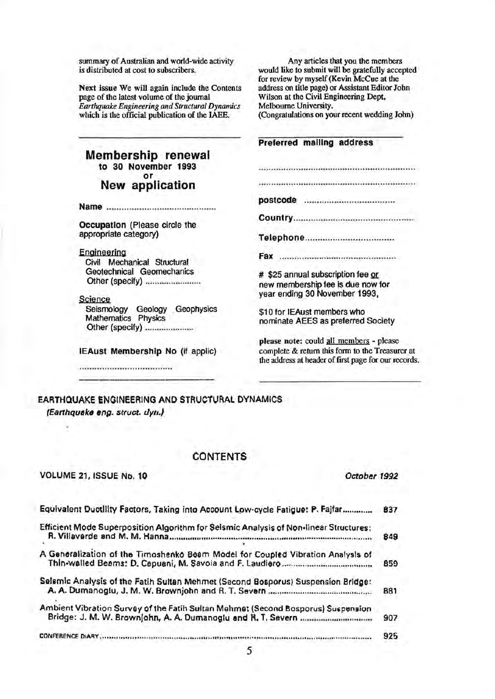summary of Australian and world-wide activity is distributed at cost to subscribers.

Next issue We will again include the Contents page of the latest volume of the journal *Earthquake Engineering and Structural Dynamics*  which is the official publication of the IAEE.

Any articles that you the members would like to submit will be gratefully accepted for review by myself (Kevin McCue at the address on title page) or Assistant Editor John Wilson at the Civil Engineering Dept, Melbourne University. (Congratulations on your recent wedding John)

Preferred mailing address

postcode ................................... .

Country ............................................... .

Telephone .................................. .

Fax .............................................. .

# \$25 annual subscription fee or new membership fee is due now for year ending 30 November 1993,

\$10 for IEAust members who nominate AEES as preferred Society

please note: could all members - please complete & return this fonn to the Treasurer at the address at header of first page for our records.

Membership renewal to 30 November 1993 or New application

Name ..................... .. .................... .

Occupation {Please circle the appropriate category)

Engineering Civil Mechanical Structural Geotechnical Geomechanics Other {specify) ...................... ..

Science Seismology Geology , Geophysics Mathematics Physics Other {specify) .................... .

IEAust Membership No {if applic)

EARTHQUAKE ENGINEERING AND STRUCTURAL DYNAMICS (Earthquake eng. struct. dyti.)

# CONTENTS

VOLUME 21, ISSUE No. 10 *October 1992* 

| Equivalent Ductility Factors, Taking into Account Low-cycle Fatigue: P. Fajfar                                         | 837 |
|------------------------------------------------------------------------------------------------------------------------|-----|
| Efficient Mode Superposition Algorithm for Selsmic Analysis of Non-linear Structures:<br>R. Villaverde and M. M. Hanna | 849 |
| A Generalization of the Timoshenko Beam Model for Coupled Vibration Analysis of                                        | 859 |
| Selsmic Analysis of the Fatih Sultan Mehmet (Second Bosporus) Suspension Bridge:                                       | 881 |
| Ambient Vibration Survey of the Fatih Sultan Mehmet (Second Bosporus) Suspension                                       | 907 |
| CONFERENCE DIARY                                                                                                       | 925 |